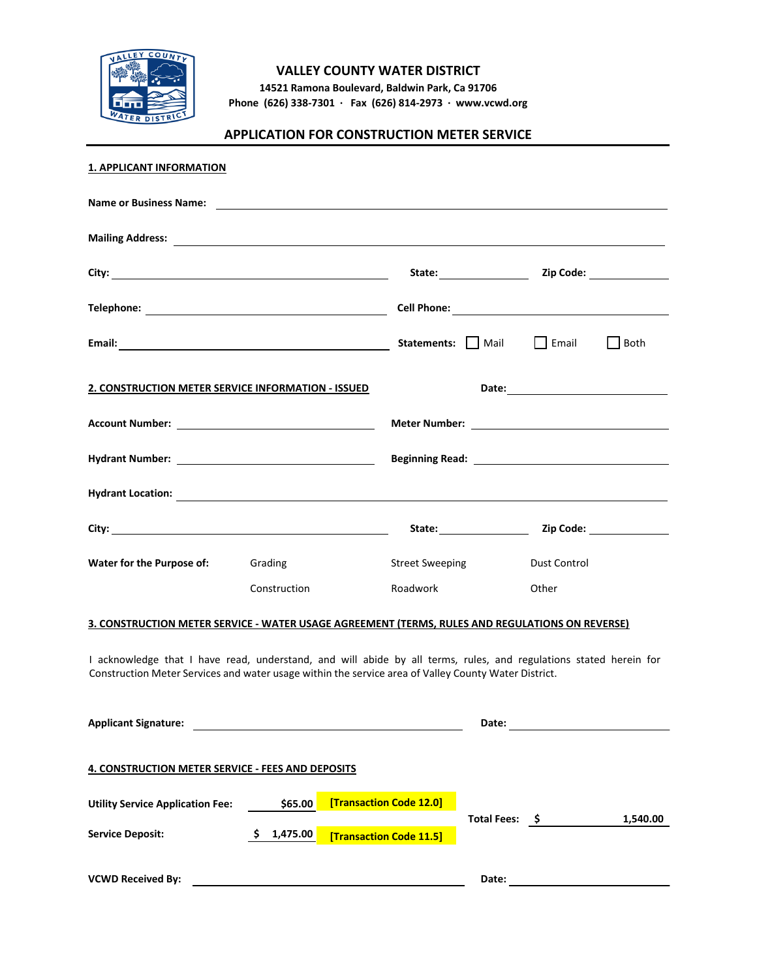

## **VALLEY COUNTY WATER DISTRICT**

**14521 Ramona Boulevard, Baldwin Park, Ca 91706 Phone (626) 338-7301 · Fax (626) 814-2973 · www.vcwd.org**

# **APPLICATION FOR CONSTRUCTION METER SERVICE**

| 1. APPLICANT INFORMATION                                                                                                                                                                                                             |                |                         |                  |              |             |
|--------------------------------------------------------------------------------------------------------------------------------------------------------------------------------------------------------------------------------------|----------------|-------------------------|------------------|--------------|-------------|
|                                                                                                                                                                                                                                      |                |                         |                  |              |             |
| Mailing Address: <u>All Annual Address and American and American and American and American and American and American and American and American and American and American and American and American and American and American and</u> |                |                         |                  |              |             |
|                                                                                                                                                                                                                                      |                |                         |                  |              |             |
|                                                                                                                                                                                                                                      |                |                         |                  |              |             |
|                                                                                                                                                                                                                                      |                |                         | Statements: Mail | $\Box$ Email | $\Box$ Both |
| 2. CONSTRUCTION METER SERVICE INFORMATION - ISSUED                                                                                                                                                                                   |                |                         |                  |              |             |
|                                                                                                                                                                                                                                      |                |                         |                  |              |             |
|                                                                                                                                                                                                                                      |                |                         |                  |              |             |
|                                                                                                                                                                                                                                      |                |                         |                  |              |             |
|                                                                                                                                                                                                                                      |                |                         |                  |              |             |
| Water for the Purpose of:                                                                                                                                                                                                            | Grading        | <b>Street Sweeping</b>  |                  | Dust Control |             |
|                                                                                                                                                                                                                                      | Construction   | Roadwork                |                  | Other        |             |
| 3. CONSTRUCTION METER SERVICE - WATER USAGE AGREEMENT (TERMS, RULES AND REGULATIONS ON REVERSE)                                                                                                                                      |                |                         |                  |              |             |
| I acknowledge that I have read, understand, and will abide by all terms, rules, and regulations stated herein for<br>Construction Meter Services and water usage within the service area of Valley County Water District.            |                |                         |                  |              |             |
| <b>Applicant Signature:</b>                                                                                                                                                                                                          |                |                         | Date:            |              |             |
| <b>4. CONSTRUCTION METER SERVICE - FEES AND DEPOSITS</b>                                                                                                                                                                             |                |                         |                  |              |             |
| <b>Utility Service Application Fee:</b>                                                                                                                                                                                              | \$65.00        | [Transaction Code 12.0] |                  |              |             |
| <b>Service Deposit:</b>                                                                                                                                                                                                              | 1,475.00<br>S. | [Transaction Code 11.5] | Total Fees: \$   |              | 1,540.00    |
| <b>VCWD Received By:</b>                                                                                                                                                                                                             |                |                         | Date:            |              |             |